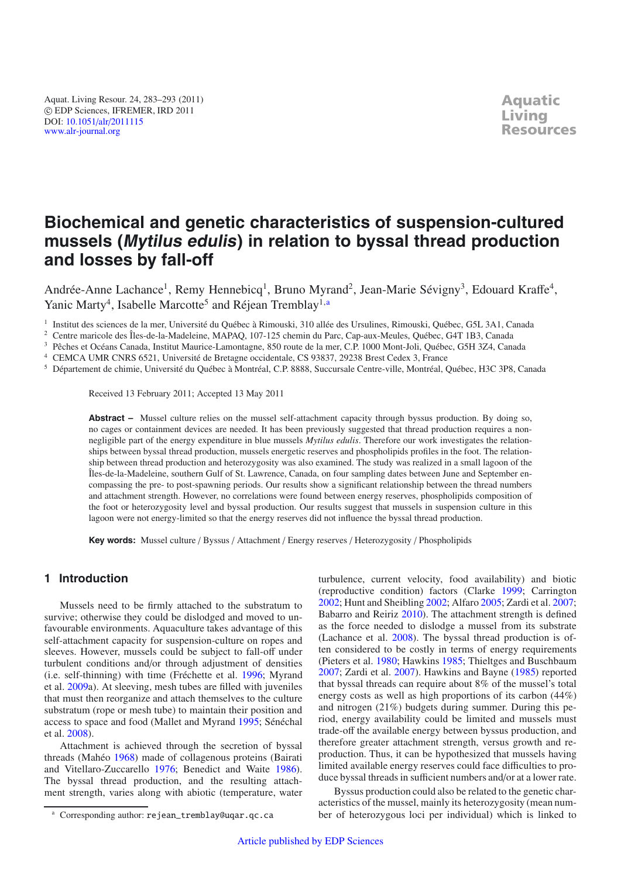# **Biochemical and genetic characteristics of suspension-cultured mussels (Mytilus edulis) in relation to byssal thread production and losses by fall-off**

Andrée-Anne Lachance<sup>1</sup>, Remy Hennebicq<sup>1</sup>, Bruno Myrand<sup>2</sup>, Jean-Marie Sévigny<sup>3</sup>, Edouard Kraffe<sup>4</sup>, Yanic Marty<sup>4</sup>, Isabelle Marcotte<sup>5</sup> and Réjean Tremblay<sup>1,a</sup>

<sup>1</sup> Institut des sciences de la mer, Université du Québec à Rimouski, 310 allée des Ursulines, Rimouski, Québec, G5L 3A1, Canada

<sup>2</sup> Centre maricole des Îles-de-la-Madeleine, MAPAQ, 107-125 chemin du Parc, Cap-aux-Meules, Québec, G4T 1B3, Canada<br><sup>3</sup> Pêches et Océans Canada, Institut Maurice Lamontagne, 850 route de la mar. C.P. 1000 Mont Joli, Québe

<sup>3</sup> Pêches et Océans Canada, Institut Maurice-Lamontagne, 850 route de la mer, C.P. 1000 Mont-Joli, Québec, G5H 3Z4, Canada

<sup>4</sup> CEMCA UMR CNRS 6521, Université de Bretagne occidentale, CS 93837, 29238 Brest Cedex 3, France

<sup>5</sup> Département de chimie, Université du Québec à Montréal, C.P. 8888, Succursale Centre-ville, Montréal, Québec, H3C 3P8, Canada

Received 13 February 2011; Accepted 13 May 2011

**Abstract –** Mussel culture relies on the mussel self-attachment capacity through byssus production. By doing so, no cages or containment devices are needed. It has been previously suggested that thread production requires a nonnegligible part of the energy expenditure in blue mussels *Mytilus edulis*. Therefore our work investigates the relationships between byssal thread production, mussels energetic reserves and phospholipids profiles in the foot. The relationship between thread production and heterozygosity was also examined. The study was realized in a small lagoon of the Îles-de-la-Madeleine, southern Gulf of St. Lawrence, Canada, on four sampling dates between June and September encompassing the pre- to post-spawning periods. Our results show a significant relationship between the thread numbers and attachment strength. However, no correlations were found between energy reserves, phospholipids composition of the foot or heterozygosity level and byssal production. Our results suggest that mussels in suspension culture in this lagoon were not energy-limited so that the energy reserves did not influence the byssal thread production.

**Key words:** Mussel culture / Byssus / Attachment / Energy reserves / Heterozygosity / Phospholipids

# **1 Introduction**

Mussels need to be firmly attached to the substratum to survive; otherwise they could be dislodged and moved to unfavourable environments. Aquaculture takes advantage of this self-attachment capacity for suspension-culture on ropes and sleeves. However, mussels could be subject to fall-off under turbulent conditions and/or through adjustment of densities (i.e. self-thinning) with time (Fréchette et al. [1996;](#page-9-0) Myrand et al. [2009a](#page-10-0)). At sleeving, mesh tubes are filled with juveniles that must then reorganize and attach themselves to the culture substratum (rope or mesh tube) to maintain their position and access to space and food (Mallet and Myrand [1995;](#page-9-1) Sénéchal et al. [2008](#page-10-1)).

Attachment is achieved through the secretion of byssal threads (Mahéo [1968](#page-9-2)) made of collagenous proteins (Bairati and Vitellaro-Zuccarello [1976;](#page-8-0) Benedict and Waite [1986](#page-9-3)). The byssal thread production, and the resulting attachment strength, varies along with abiotic (temperature, water

<sup>a</sup> Corresponding author: rejean\_tremblay@uqar.qc.ca

turbulence, current velocity, food availability) and biotic (reproductive condition) factors (Clarke [1999;](#page-9-4) Carrington [2002;](#page-9-5) Hunt and Sheibling [2002;](#page-9-6) Alfaro [2005;](#page-8-1) Zardi et al. [2007;](#page-10-2) Babarro and Reiriz [2010](#page-8-2)). The attachment strength is defined as the force needed to dislodge a mussel from its substrate (Lachance et al. [2008\)](#page-9-7). The byssal thread production is often considered to be costly in terms of energy requirements (Pieters et al. [1980;](#page-10-3) Hawkins [1985;](#page-9-8) Thieltges and Buschbaum [2007;](#page-10-4) Zardi et al. [2007\)](#page-10-2). Hawkins and Bayne [\(1985\)](#page-9-8) reported that byssal threads can require about 8% of the mussel's total energy costs as well as high proportions of its carbon (44%) and nitrogen (21%) budgets during summer. During this period, energy availability could be limited and mussels must trade-off the available energy between byssus production, and therefore greater attachment strength, versus growth and reproduction. Thus, it can be hypothesized that mussels having limited available energy reserves could face difficulties to produce byssal threads in sufficient numbers and/or at a lower rate.

Byssus production could also be related to the genetic characteristics of the mussel, mainly its heterozygosity (mean number of heterozygous loci per individual) which is linked to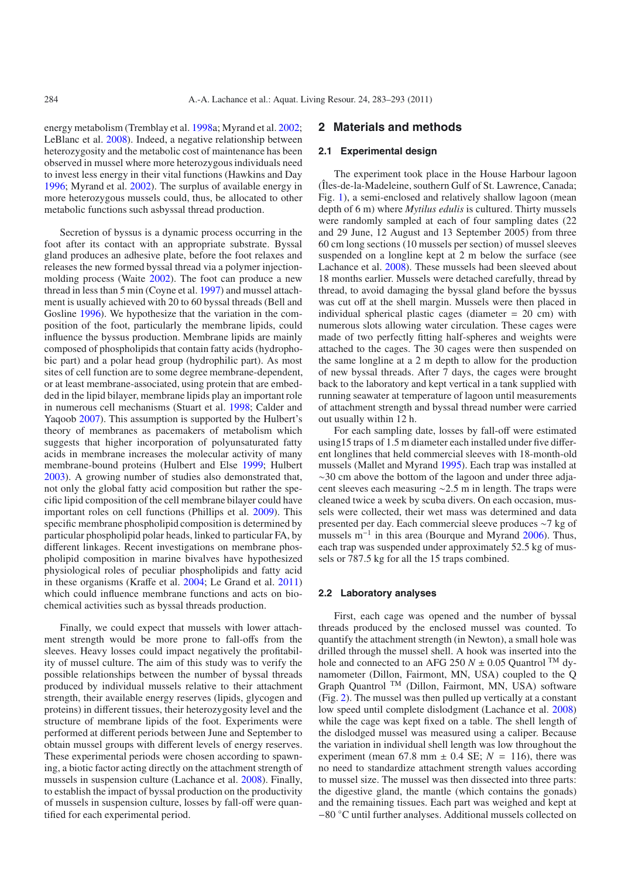energy metabolism (Tremblay et al. [1998a](#page-10-5); Myrand et al. [2002](#page-10-6); LeBlanc et al. [2008\)](#page-9-9). Indeed, a negative relationship between heterozygosity and the metabolic cost of maintenance has been observed in mussel where more heterozygous individuals need to invest less energy in their vital functions (Hawkins and Day [1996;](#page-9-10) Myrand et al. [2002\)](#page-10-6). The surplus of available energy in more heterozygous mussels could, thus, be allocated to other metabolic functions such asbyssal thread production.

Secretion of byssus is a dynamic process occurring in the foot after its contact with an appropriate substrate. Byssal gland produces an adhesive plate, before the foot relaxes and releases the new formed byssal thread via a polymer injectionmolding process (Waite [2002](#page-10-7)). The foot can produce a new thread in less than 5 min (Coyne et al. [1997\)](#page-9-11) and mussel attachment is usually achieved with 20 to 60 byssal threads (Bell and Gosline [1996\)](#page-9-12). We hypothesize that the variation in the composition of the foot, particularly the membrane lipids, could influence the byssus production. Membrane lipids are mainly composed of phospholipids that contain fatty acids (hydrophobic part) and a polar head group (hydrophilic part). As most sites of cell function are to some degree membrane-dependent, or at least membrane-associated, using protein that are embedded in the lipid bilayer, membrane lipids play an important role in numerous cell mechanisms (Stuart et al. [1998;](#page-10-8) Calder and Yaqoob [2007\)](#page-9-13). This assumption is supported by the Hulbert's theory of membranes as pacemakers of metabolism which suggests that higher incorporation of polyunsaturated fatty acids in membrane increases the molecular activity of many membrane-bound proteins (Hulbert and Else [1999](#page-9-14); Hulbert [2003\)](#page-9-15). A growing number of studies also demonstrated that, not only the global fatty acid composition but rather the specific lipid composition of the cell membrane bilayer could have important roles on cell functions (Phillips et al. [2009\)](#page-10-9). This specific membrane phospholipid composition is determined by particular phospholipid polar heads, linked to particular FA, by different linkages. Recent investigations on membrane phospholipid composition in marine bivalves have hypothesized physiological roles of peculiar phospholipids and fatty acid in these organisms (Kraffe et al. [2004;](#page-9-16) Le Grand et al. [2011\)](#page-9-17) which could influence membrane functions and acts on biochemical activities such as byssal threads production.

Finally, we could expect that mussels with lower attachment strength would be more prone to fall-offs from the sleeves. Heavy losses could impact negatively the profitability of mussel culture. The aim of this study was to verify the possible relationships between the number of byssal threads produced by individual mussels relative to their attachment strength, their available energy reserves (lipids, glycogen and proteins) in different tissues, their heterozygosity level and the structure of membrane lipids of the foot. Experiments were performed at different periods between June and September to obtain mussel groups with different levels of energy reserves. These experimental periods were chosen according to spawning, a biotic factor acting directly on the attachment strength of mussels in suspension culture (Lachance et al. [2008](#page-9-7)). Finally, to establish the impact of byssal production on the productivity of mussels in suspension culture, losses by fall-off were quantified for each experimental period.

## **2 Materials and methods**

#### **2.1 Experimental design**

The experiment took place in the House Harbour lagoon (Îles-de-la-Madeleine, southern Gulf of St. Lawrence, Canada; Fig. [1\)](#page-2-0), a semi-enclosed and relatively shallow lagoon (mean depth of 6 m) where *Mytilus edulis* is cultured. Thirty mussels were randomly sampled at each of four sampling dates (22 and 29 June, 12 August and 13 September 2005) from three 60 cm long sections (10 mussels per section) of mussel sleeves suspended on a longline kept at 2 m below the surface (see Lachance et al. [2008](#page-9-7)). These mussels had been sleeved about 18 months earlier. Mussels were detached carefully, thread by thread, to avoid damaging the byssal gland before the byssus was cut off at the shell margin. Mussels were then placed in individual spherical plastic cages (diameter = 20 cm) with numerous slots allowing water circulation. These cages were made of two perfectly fitting half-spheres and weights were attached to the cages. The 30 cages were then suspended on the same longline at a 2 m depth to allow for the production of new byssal threads. After 7 days, the cages were brought back to the laboratory and kept vertical in a tank supplied with running seawater at temperature of lagoon until measurements of attachment strength and byssal thread number were carried out usually within 12 h.

For each sampling date, losses by fall-off were estimated using15 traps of 1.5 m diameter each installed under five different longlines that held commercial sleeves with 18-month-old mussels (Mallet and Myrand [1995\)](#page-9-1). Each trap was installed at ∼30 cm above the bottom of the lagoon and under three adjacent sleeves each measuring ∼2.5 m in length. The traps were cleaned twice a week by scuba divers. On each occasion, mussels were collected, their wet mass was determined and data presented per day. Each commercial sleeve produces ∼7 kg of mussels m−<sup>1</sup> in this area (Bourque and Myrand [2006\)](#page-9-18). Thus, each trap was suspended under approximately 52.5 kg of mussels or 787.5 kg for all the 15 traps combined.

#### **2.2 Laboratory analyses**

First, each cage was opened and the number of byssal threads produced by the enclosed mussel was counted. To quantify the attachment strength (in Newton), a small hole was drilled through the mussel shell. A hook was inserted into the hole and connected to an AFG 250  $N \pm 0.05$  Quantrol <sup>TM</sup> dynamometer (Dillon, Fairmont, MN, USA) coupled to the Q Graph Quantrol <sup>TM</sup> (Dillon, Fairmont, MN, USA) software (Fig. [2\)](#page-2-1). The mussel was then pulled up vertically at a constant low speed until complete dislodgment (Lachance et al. [2008\)](#page-9-7) while the cage was kept fixed on a table. The shell length of the dislodged mussel was measured using a caliper. Because the variation in individual shell length was low throughout the experiment (mean 67.8 mm  $\pm$  0.4 SE;  $N = 116$ ), there was no need to standardize attachment strength values according to mussel size. The mussel was then dissected into three parts: the digestive gland, the mantle (which contains the gonads) and the remaining tissues. Each part was weighed and kept at −80 ◦C until further analyses. Additional mussels collected on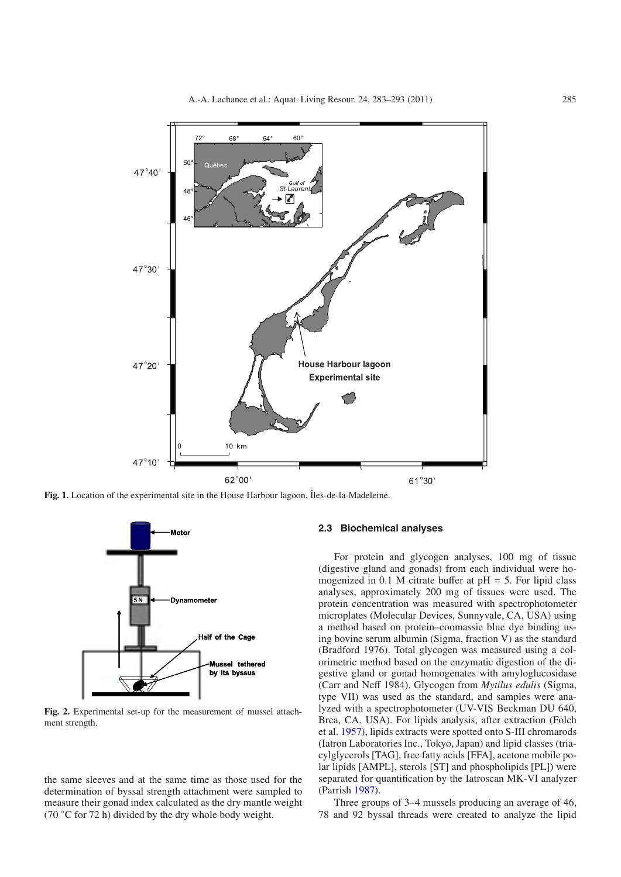

<span id="page-2-1"></span><span id="page-2-0"></span>**Fig. 1.** Location of the experimental site in the House Harbour lagoon, Îles-de-la-Madeleine.



**Fig. 2.** Experimental set-up for the measurement of mussel attachment strength.

the same sleeves and at the same time as those used for the determination of byssal strength attachment were sampled to measure their gonad index calculated as the dry mantle weight (70  $\degree$ C for 72 h) divided by the dry whole body weight.

## **2.3 Biochemical analyses**

For protein and glycogen analyses, 100 mg of tissue (digestive gland and gonads) from each individual were homogenized in 0.1 M citrate buffer at  $pH = 5$ . For lipid class analyses, approximately 200 mg of tissues were used. The protein concentration was measured with spectrophotometer microplates (Molecular Devices, Sunnyvale, CA, USA) using a method based on protein–coomassie blue dye binding using bovine serum albumin (Sigma, fraction V) as the standard (Bradford 1976). Total glycogen was measured using a colorimetric method based on the enzymatic digestion of the digestive gland or gonad homogenates with amyloglucosidase (Carr and Neff 1984). Glycogen from *Mytilus edulis* (Sigma, type VII) was used as the standard, and samples were analyzed with a spectrophotometer (UV-VIS Beckman DU 640, Brea, CA, USA). For lipids analysis, after extraction (Folch et al. [1957\)](#page-9-19), lipids extracts were spotted onto S-III chromarods (Iatron Laboratories Inc., Tokyo, Japan) and lipid classes (triacylglycerols [TAG], free fatty acids [FFA], acetone mobile polar lipids [AMPL], sterols [ST] and phospholipids [PL]) were separated for quantification by the Iatroscan MK-VI analyzer (Parrish [1987\)](#page-10-10).

Three groups of 3–4 mussels producing an average of 46, 78 and 92 byssal threads were created to analyze the lipid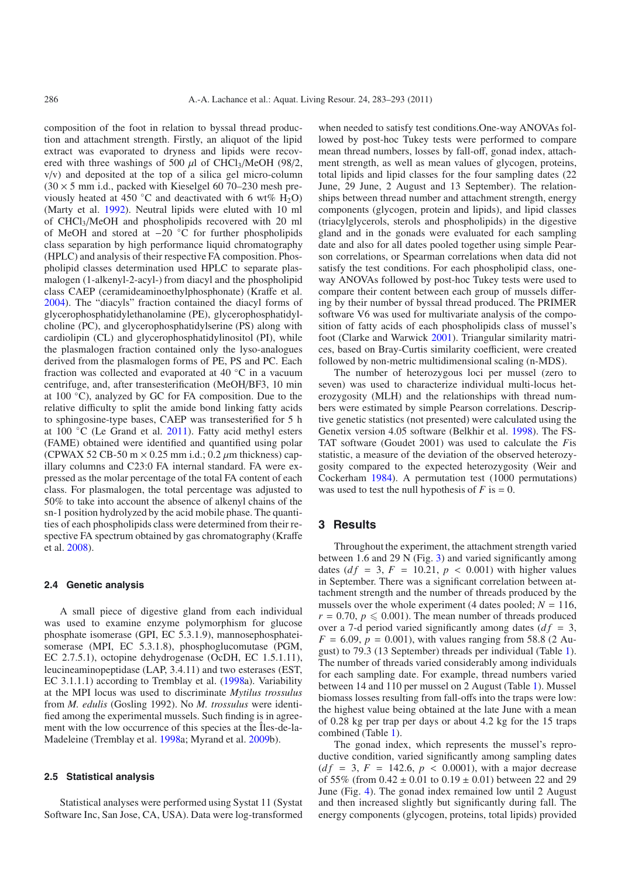composition of the foot in relation to byssal thread production and attachment strength. Firstly, an aliquot of the lipid extract was evaporated to dryness and lipids were recovered with three washings of 500  $\mu$ l of CHCl<sub>3</sub>/MeOH (98/2, v/v) and deposited at the top of a silica gel micro-column  $(30 \times 5 \text{ mm } \text{i.d., packed with Kieselgel } 6070-230 \text{ mesh pre-}$ viously heated at 450 °C and deactivated with 6 wt%  $H_2O$ ) (Marty et al. [1992\)](#page-10-11). Neutral lipids were eluted with 10 ml of CHCl3/MeOH and phospholipids recovered with 20 ml of MeOH and stored at −20 ◦C for further phospholipids class separation by high performance liquid chromatography (HPLC) and analysis of their respective FA composition. Phospholipid classes determination used HPLC to separate plasmalogen (1-alkenyl-2-acyl-) from diacyl and the phospholipid class CAEP (ceramideaminoethylphosphonate) (Kraffe et al. [2004\)](#page-9-16). The "diacyls" fraction contained the diacyl forms of glycerophosphatidylethanolamine (PE), glycerophosphatidylcholine (PC), and glycerophosphatidylserine (PS) along with cardiolipin (CL) and glycerophosphatidylinositol (PI), while the plasmalogen fraction contained only the lyso-analogues derived from the plasmalogen forms of PE, PS and PC. Each fraction was collected and evaporated at 40 ◦C in a vacuum centrifuge, and, after transesterification (MeOH/BF3, 10 min at 100 ◦C), analyzed by GC for FA composition. Due to the relative difficulty to split the amide bond linking fatty acids to sphingosine-type bases, CAEP was transesterified for 5 h at 100 ◦C (Le Grand et al. [2011](#page-9-17)). Fatty acid methyl esters (FAME) obtained were identified and quantified using polar (CPWAX 52 CB-50 m  $\times$  0.25 mm i.d.; 0.2  $\mu$ m thickness) capillary columns and C23:0 FA internal standard. FA were expressed as the molar percentage of the total FA content of each class. For plasmalogen, the total percentage was adjusted to 50% to take into account the absence of alkenyl chains of the sn-1 position hydrolyzed by the acid mobile phase. The quantities of each phospholipids class were determined from their respective FA spectrum obtained by gas chromatography (Kraffe et al. [2008](#page-9-20)).

#### **2.4 Genetic analysis**

A small piece of digestive gland from each individual was used to examine enzyme polymorphism for glucose phosphate isomerase (GPI, EC 5.3.1.9), mannosephosphateisomerase (MPI, EC 5.3.1.8), phosphoglucomutase (PGM, EC 2.7.5.1), octopine dehydrogenase (OcDH, EC 1.5.1.11), leucineaminopeptidase (LAP, 3.4.11) and two esterases (EST, EC 3.1.1.1) according to Tremblay et al. [\(1998a](#page-10-5)). Variability at the MPI locus was used to discriminate *Mytilus trossulus* from *M. edulis* (Gosling 1992). No *M. trossulus* were identified among the experimental mussels. Such finding is in agreement with the low occurrence of this species at the Îles-de-la-Madeleine (Tremblay et al. [1998](#page-10-5)a; Myrand et al. [2009b](#page-10-12)).

#### **2.5 Statistical analysis**

Statistical analyses were performed using Systat 11 (Systat Software Inc, San Jose, CA, USA). Data were log-transformed

when needed to satisfy test conditions.One-way ANOVAs followed by post-hoc Tukey tests were performed to compare mean thread numbers, losses by fall-off, gonad index, attachment strength, as well as mean values of glycogen, proteins, total lipids and lipid classes for the four sampling dates (22 June, 29 June, 2 August and 13 September). The relationships between thread number and attachment strength, energy components (glycogen, protein and lipids), and lipid classes (triacylglycerols, sterols and phospholipids) in the digestive gland and in the gonads were evaluated for each sampling date and also for all dates pooled together using simple Pearson correlations, or Spearman correlations when data did not satisfy the test conditions. For each phospholipid class, oneway ANOVAs followed by post-hoc Tukey tests were used to compare their content between each group of mussels differing by their number of byssal thread produced. The PRIMER software V6 was used for multivariate analysis of the composition of fatty acids of each phospholipids class of mussel's foot (Clarke and Warwick [2001\)](#page-9-21). Triangular similarity matrices, based on Bray-Curtis similarity coefficient, were created followed by non-metric multidimensional scaling (n-MDS).

The number of heterozygous loci per mussel (zero to seven) was used to characterize individual multi-locus heterozygosity (MLH) and the relationships with thread numbers were estimated by simple Pearson correlations. Descriptive genetic statistics (not presented) were calculated using the Genetix version 4.05 software (Belkhir et al. [1998\)](#page-9-22). The FS-TAT software (Goudet 2001) was used to calculate the *F*is statistic, a measure of the deviation of the observed heterozygosity compared to the expected heterozygosity (Weir and Cockerham [1984\)](#page-10-13). A permutation test (1000 permutations) was used to test the null hypothesis of  $F$  is  $= 0$ .

## **3 Results**

Throughout the experiment, the attachment strength varied between 1.6 and 29 N (Fig. [3\)](#page-4-0) and varied significantly among dates ( $df = 3$ ,  $F = 10.21$ ,  $p < 0.001$ ) with higher values in September. There was a significant correlation between attachment strength and the number of threads produced by the mussels over the whole experiment (4 dates pooled;  $N = 116$ ,  $r = 0.70$ ,  $p \le 0.001$ ). The mean number of threads produced over a 7-d period varied significantly among dates  $(df = 3$ ,  $F = 6.09$ ,  $p = 0.001$ ), with values ranging from 58.8 (2 August) to 79.3 (13 September) threads per individual (Table [1\)](#page-4-1). The number of threads varied considerably among individuals for each sampling date. For example, thread numbers varied between 14 and 110 per mussel on 2 August (Table [1\)](#page-4-1). Mussel biomass losses resulting from fall-offs into the traps were low: the highest value being obtained at the late June with a mean of 0.28 kg per trap per days or about 4.2 kg for the 15 traps combined (Table [1\)](#page-4-1).

The gonad index, which represents the mussel's reproductive condition, varied significantly among sampling dates  $(df = 3, F = 142.6, p < 0.0001)$ , with a major decrease of 55% (from  $0.42 \pm 0.01$  to  $0.19 \pm 0.01$ ) between 22 and 29 June (Fig. [4\)](#page-4-2). The gonad index remained low until 2 August and then increased slightly but significantly during fall. The energy components (glycogen, proteins, total lipids) provided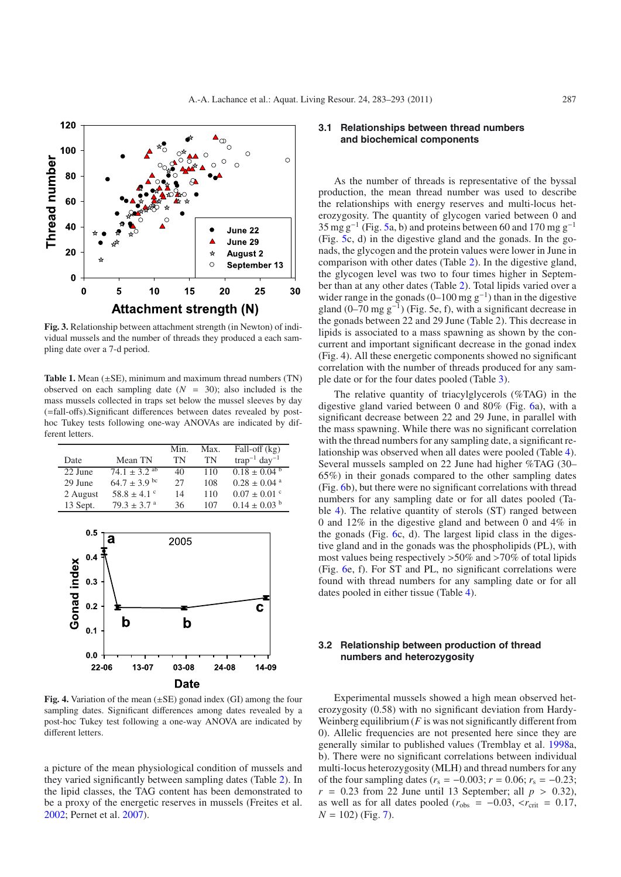<span id="page-4-0"></span>

<span id="page-4-1"></span>**Fig. 3.** Relationship between attachment strength (in Newton) of individual mussels and the number of threads they produced a each sampling date over a 7-d period.

**Table 1.** Mean  $(\pm SE)$ , minimum and maximum thread numbers  $(TN)$ observed on each sampling date  $(N = 30)$ ; also included is the mass mussels collected in traps set below the mussel sleeves by day (=fall-offs).Significant differences between dates revealed by posthoc Tukey tests following one-way ANOVAs are indicated by different letters.

|          |                             | Min. | Max. | Fall-off $(kg)$               |
|----------|-----------------------------|------|------|-------------------------------|
| Date     | Mean TN                     | TN   | TN   | $trap^{-1}$ day <sup>-1</sup> |
| 22 June  | $74.1 \pm 3.2^{ab}$         | 40   | 110  | $0.18 \pm 0.04^{\mathrm{b}}$  |
| 29 June  | $64.7 \pm 3.9$ bc           | 27   | 108  | $0.28 \pm 0.04$ <sup>a</sup>  |
| 2 August | $58.8 \pm 4.1$ °            | 14   | 110  | $0.07 \pm 0.01$ °             |
| 13 Sept. | $79.3 \pm 3.7$ <sup>a</sup> | 36   | 107  | $0.14 \pm 0.03$ <sup>b</sup>  |

<span id="page-4-2"></span>

**Fig. 4.** Variation of the mean (±SE) gonad index (GI) among the four sampling dates. Significant differences among dates revealed by a post-hoc Tukey test following a one-way ANOVA are indicated by different letters.

a picture of the mean physiological condition of mussels and they varied significantly between sampling dates (Table [2\)](#page-5-0). In the lipid classes, the TAG content has been demonstrated to be a proxy of the energetic reserves in mussels (Freites et al. [2002;](#page-9-23) Pernet et al. [2007\)](#page-10-14).

## **3.1 Relationships between thread numbers and biochemical components**

As the number of threads is representative of the byssal production, the mean thread number was used to describe the relationships with energy reserves and multi-locus heterozygosity. The quantity of glycogen varied between 0 and  $35 \text{ mg g}^{-1}$  (Fig. [5a](#page-6-0), b) and proteins between 60 and 170 mg g<sup>-1</sup> (Fig. [5c](#page-6-0), d) in the digestive gland and the gonads. In the gonads, the glycogen and the protein values were lower in June in comparison with other dates (Table [2\)](#page-5-0). In the digestive gland, the glycogen level was two to four times higher in September than at any other dates (Table [2\)](#page-5-0). Total lipids varied over a wider range in the gonads (0–100 mg  $g^{-1}$ ) than in the digestive gland  $(0–70$  mg g<sup> $-1$ </sup>) (Fig. 5e, f), with a significant decrease in the gonads between 22 and 29 June (Table 2). This decrease in lipids is associated to a mass spawning as shown by the concurrent and important significant decrease in the gonad index (Fig. 4). All these energetic components showed no significant correlation with the number of threads produced for any sample date or for the four dates pooled (Table [3\)](#page-5-1).

The relative quantity of triacylglycerols (%TAG) in the digestive gland varied between 0 and 80% (Fig. [6a](#page-6-1)), with a significant decrease between 22 and 29 June, in parallel with the mass spawning. While there was no significant correlation with the thread numbers for any sampling date, a significant relationship was observed when all dates were pooled (Table [4\)](#page-5-2). Several mussels sampled on 22 June had higher %TAG (30– 65%) in their gonads compared to the other sampling dates (Fig. [6b](#page-6-1)), but there were no significant correlations with thread numbers for any sampling date or for all dates pooled (Table [4\)](#page-5-2). The relative quantity of sterols (ST) ranged between 0 and 12% in the digestive gland and between 0 and 4% in the gonads (Fig. [6c](#page-6-1), d). The largest lipid class in the digestive gland and in the gonads was the phospholipids (PL), with most values being respectively >50% and >70% of total lipids (Fig. [6e](#page-6-1), f). For ST and PL, no significant correlations were found with thread numbers for any sampling date or for all dates pooled in either tissue (Table [4\)](#page-5-2).

#### **3.2 Relationship between production of thread numbers and heterozygosity**

Experimental mussels showed a high mean observed heterozygosity (0.58) with no significant deviation from Hardy-Weinberg equilibrium  $(F$  is was not significantly different from 0). Allelic frequencies are not presented here since they are generally similar to published values (Tremblay et al. [1998a](#page-10-5), b). There were no significant correlations between individual multi-locus heterozygosity (MLH) and thread numbers for any of the four sampling dates ( $r_s$  = −0.003;  $r$  = 0.06;  $r_s$  = −0.23;  $r = 0.23$  from 22 June until 13 September; all  $p > 0.32$ ), as well as for all dates pooled ( $r_{\text{obs}} = -0.03$ ,  $\langle r_{\text{crit}} = 0.17$ ,  $N = 102$ ) (Fig. [7\)](#page-7-0).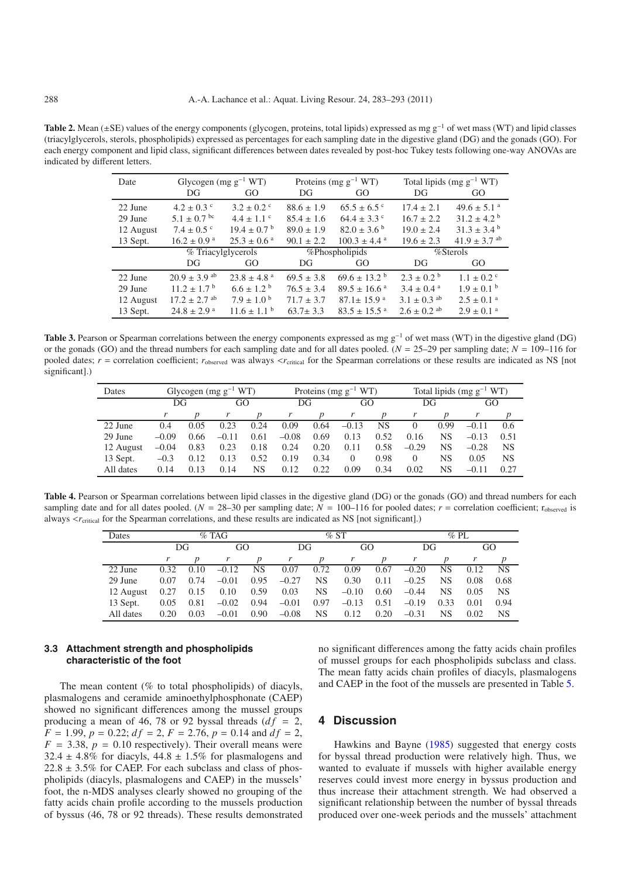<span id="page-5-1"></span><span id="page-5-0"></span>**Table 2.** Mean (±SE) values of the energy components (glycogen, proteins, total lipids) expressed as mg g−<sup>1</sup> of wet mass (WT) and lipid classes (triacylglycerols, sterols, phospholipids) expressed as percentages for each sampling date in the digestive gland (DG) and the gonads (GO). For each energy component and lipid class, significant differences between dates revealed by post-hoc Tukey tests following one-way ANOVAs are indicated by different letters.

| Date      | Glycogen (mg $g^{-1} WT$ )   |                             |                | Proteins (mg $g^{-1} WT$ )   | Total lipids $(mg g^{-1} WT)$ |                             |  |
|-----------|------------------------------|-----------------------------|----------------|------------------------------|-------------------------------|-----------------------------|--|
|           | DG                           | GO                          | DG             | GO                           | DG                            | GO                          |  |
| 22 June   | $4.2 \pm 0.3$ °              | $3.2 \pm 0.2$ °             | $88.6 \pm 1.9$ | $65.5 \pm 6.5$ °             | $17.4 \pm 2.1$                | $49.6 \pm 5.1$ <sup>a</sup> |  |
| 29 June   | $5.1 \pm 0.7$ bc             | $4.4 \pm 1.1$ °             | $85.4 \pm 1.6$ | $64.4 \pm 3.3$ °             | $16.7 \pm 2.2$                | $31.2 \pm 4.2^{\circ}$      |  |
| 12 August | $7.4 \pm 0.5$ °              | $19.4 \pm 0.7^{\circ}$      | $89.0 \pm 1.9$ | $82.0 \pm 3.6^{\circ}$       | $19.0 \pm 2.4$                | $31.3 \pm 3.4^{\circ}$      |  |
| 13 Sept.  | $16.2 \pm 0.9$ <sup>a</sup>  | $25.3 \pm 0.6^{\text{ a}}$  | $90.1 \pm 2.2$ | $100.3 \pm 4.4$ <sup>a</sup> | $19.6 \pm 2.3$                | $41.9 \pm 3.7$ ab           |  |
|           | % Triacylglycerols           |                             |                | %Phospholipids               | %Sterols                      |                             |  |
|           | DG                           | GO                          | DG             | GO                           | DG                            | GO.                         |  |
| 22 June   | $20.9 \pm 3.9$ <sup>ab</sup> | $23.8 \pm 4.8$ <sup>a</sup> | $69.5 \pm 3.8$ | $69.6 \pm 13.2$ <sup>b</sup> | $2.3 \pm 0.2^{\circ}$         | $1.1 \pm 0.2$ <sup>c</sup>  |  |
| 29 June   | $11.2 \pm 1.7^{\mathrm{b}}$  | $6.6 \pm 1.2^{\circ}$       | $76.5 \pm 3.4$ | $89.5 \pm 16.6^{\text{a}}$   | $3.4 \pm 0.4^{\text{a}}$      | $1.9 \pm 0.1^{\text{b}}$    |  |
| 12 August | $17.2 \pm 2.7$ <sup>ab</sup> | $7.9 \pm 1.0^{\circ}$       | $71.7 \pm 3.7$ | $87.1 \pm 15.9$ <sup>a</sup> | $3.1 \pm 0.3$ ab              | $2.5 \pm 0.1$ <sup>a</sup>  |  |
| 13 Sept.  | $24.8 \pm 2.9$ <sup>a</sup>  | $11.6 \pm 1.1^{\mathrm{b}}$ | $63.7 \pm 3.3$ | $83.5 \pm 15.5$ <sup>a</sup> | $2.6 \pm 0.2$ ab              | $2.9 \pm 0.1$ <sup>a</sup>  |  |

<span id="page-5-2"></span>Table 3. Pearson or Spearman correlations between the energy components expressed as mg g<sup>-1</sup> of wet mass (WT) in the digestive gland (DG) or the gonads (GO) and the thread numbers for each sampling date and for all dates pooled. ( $N = 25-29$  per sampling date;  $N = 109-116$  for pooled dates; *r* = correlation coefficient; *r*<sub>observed</sub> was always <*r*<sub>critical</sub> for the Spearman correlations or these results are indicated as NS [not significant].)

| Dates     | Glycogen (mg $g^{-1} WT$ ) |      |         | Proteins (mg $g^{-1} WT$ ) |         |                  |          | Total lipids (mg $g^{-1}WT$ ) |          |      |         |      |
|-----------|----------------------------|------|---------|----------------------------|---------|------------------|----------|-------------------------------|----------|------|---------|------|
|           | DG                         |      | GO      |                            | DG      |                  | GO       |                               | DG       |      | GO      |      |
|           |                            |      | r       | p                          | r       | $\boldsymbol{p}$ | r        | $\boldsymbol{p}$              |          | p    |         |      |
| 22 June   | 0.4                        | 0.05 | 0.23    | 0.24                       | 0.09    | 0.64             | $-0.13$  | NS                            |          | 0.99 | $-0.11$ | 0.6  |
| 29 June   | $-0.09$                    | 0.66 | $-0.11$ | 0.61                       | $-0.08$ | 0.69             | 0.13     | 0.52                          | 0.16     | NS   | $-0.13$ | 0.51 |
| 12 August | $-0.04$                    | 0.83 | 0.23    | 0.18                       | 0.24    | 0.20             | 0.11     | 0.58                          | $-0.29$  | NS   | $-0.28$ | NS   |
| 13 Sept.  | $-0.3$                     | 0.12 | 0.13    | 0.52                       | 0.19    | 0.34             | $\Omega$ | 0.98                          | $\Omega$ | NS   | 0.05    | NS   |
| All dates | 0.14                       | 0.13 | 0.14    | NS                         | 0.12    | 0.22             | 0.09     | 0.34                          | 0.02     | NS   | $-0.11$ | 0.27 |

**Table 4.** Pearson or Spearman correlations between lipid classes in the digestive gland (DG) or the gonads (GO) and thread numbers for each sampling date and for all dates pooled. ( $N = 28-30$  per sampling date;  $N = 100-116$  for pooled dates;  $r =$  correlation coefficient; r<sub>observed</sub> is always  $\langle r_{\text{critical}}\rangle$  for the Spearman correlations, and these results are indicated as NS [not significant].)

| Dates     | $%$ TAG |      |         | %ST  |         |                  |         | $\%$ PL          |         |                  |      |           |
|-----------|---------|------|---------|------|---------|------------------|---------|------------------|---------|------------------|------|-----------|
|           |         | DG   | GO      |      | DG      |                  | GO      |                  | DG      |                  |      | GO        |
|           |         |      |         | p    | r       | $\boldsymbol{p}$ | r       | $\boldsymbol{p}$ | r       | $\boldsymbol{p}$ |      | p         |
| 22 June   | 0.32    | 0.10 | $-0.12$ | NS   | 0.07    | 0.72             | 0.09    | 0.67             | $-0.20$ | NS               | 0.12 | <b>NS</b> |
| 29 June   | 0.07    | 0.74 | $-0.01$ | 0.95 | $-0.27$ | <b>NS</b>        | 0.30    | 0.11             | $-0.25$ | NS               | 0.08 | 0.68      |
| 12 August | 0.27    | 0.15 | 0.10    | 0.59 | 0.03    | <b>NS</b>        | $-0.10$ | 0.60             | $-0.44$ | NS               | 0.05 | <b>NS</b> |
| 13 Sept.  | 0.05    | 0.81 | $-0.02$ | 0.94 | $-0.01$ | 0.97             | $-0.13$ | 0.51             | $-0.19$ | 0.33             | 0.01 | 0.94      |
| All dates | 0.20    | 0.03 | $-0.01$ | 0.90 | $-0.08$ | NS               | 0.12    | 0.20             | $-0.31$ | NS               | 0.02 | <b>NS</b> |

#### **3.3 Attachment strength and phospholipids characteristic of the foot**

The mean content (% to total phospholipids) of diacyls, plasmalogens and ceramide aminoethylphosphonate (CAEP) showed no significant differences among the mussel groups producing a mean of 46, 78 or 92 byssal threads  $(df = 2,$  $F = 1.99$ ,  $p = 0.22$ ;  $df = 2$ ,  $F = 2.76$ ,  $p = 0.14$  and  $df = 2$ ,  $F = 3.38$ ,  $p = 0.10$  respectively). Their overall means were  $32.4 \pm 4.8\%$  for diacyls,  $44.8 \pm 1.5\%$  for plasmalogens and  $22.8 \pm 3.5\%$  for CAEP. For each subclass and class of phospholipids (diacyls, plasmalogens and CAEP) in the mussels' foot, the n-MDS analyses clearly showed no grouping of the fatty acids chain profile according to the mussels production of byssus (46, 78 or 92 threads). These results demonstrated no significant differences among the fatty acids chain profiles of mussel groups for each phospholipids subclass and class. The mean fatty acids chain profiles of diacyls, plasmalogens and CAEP in the foot of the mussels are presented in Table [5.](#page-7-1)

## **4 Discussion**

Hawkins and Bayne [\(1985\)](#page-9-8) suggested that energy costs for byssal thread production were relatively high. Thus, we wanted to evaluate if mussels with higher available energy reserves could invest more energy in byssus production and thus increase their attachment strength. We had observed a significant relationship between the number of byssal threads produced over one-week periods and the mussels' attachment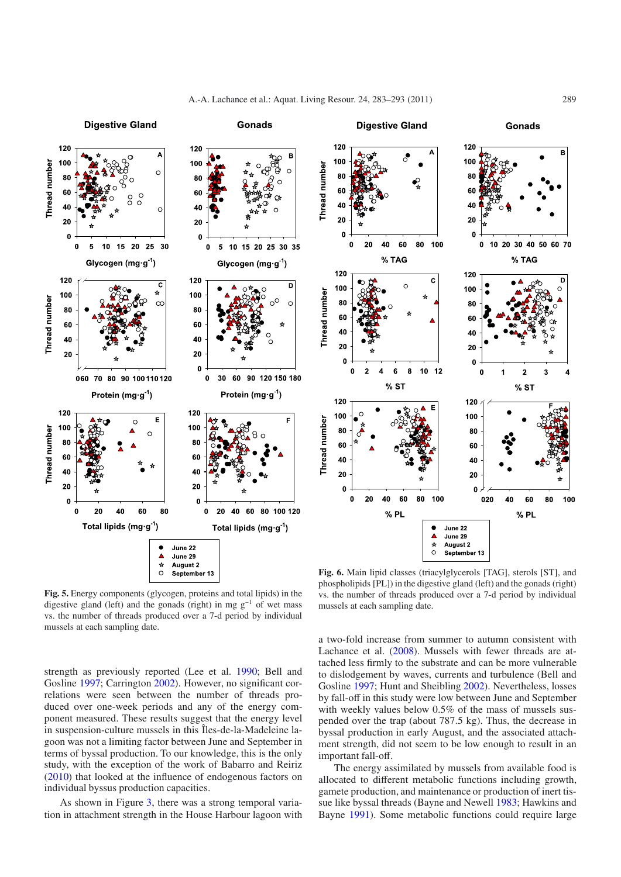**Gonads** 

**Digestive Gland** 





<span id="page-6-0"></span>**Fig. 5.** Energy components (glycogen, proteins and total lipids) in the digestive gland (left) and the gonads (right) in mg  $g^{-1}$  of wet mass vs. the number of threads produced over a 7-d period by individual mussels at each sampling date.

strength as previously reported (Lee et al. [1990;](#page-9-24) Bell and Gosline [1997](#page-9-25); Carrington [2002\)](#page-9-5). However, no significant correlations were seen between the number of threads produced over one-week periods and any of the energy component measured. These results suggest that the energy level in suspension-culture mussels in this Îles-de-la-Madeleine lagoon was not a limiting factor between June and September in terms of byssal production. To our knowledge, this is the only study, with the exception of the work of Babarro and Reiriz [\(2010\)](#page-8-2) that looked at the influence of endogenous factors on individual byssus production capacities.

As shown in Figure [3,](#page-4-0) there was a strong temporal variation in attachment strength in the House Harbour lagoon with

<span id="page-6-1"></span>**Fig. 6.** Main lipid classes (triacylglycerols [TAG], sterols [ST], and phospholipids [PL]) in the digestive gland (left) and the gonads (right) vs. the number of threads produced over a 7-d period by individual mussels at each sampling date.

a two-fold increase from summer to autumn consistent with Lachance et al. [\(2008\)](#page-9-7). Mussels with fewer threads are attached less firmly to the substrate and can be more vulnerable to dislodgement by waves, currents and turbulence (Bell and Gosline [1997;](#page-9-25) Hunt and Sheibling [2002\)](#page-9-6). Nevertheless, losses by fall-off in this study were low between June and September with weekly values below  $0.5\%$  of the mass of mussels suspended over the trap (about 787.5 kg). Thus, the decrease in byssal production in early August, and the associated attachment strength, did not seem to be low enough to result in an important fall-off.

The energy assimilated by mussels from available food is allocated to different metabolic functions including growth, gamete production, and maintenance or production of inert tissue like byssal threads (Bayne and Newell [1983;](#page-9-26) Hawkins and Bayne [1991\)](#page-9-27). Some metabolic functions could require large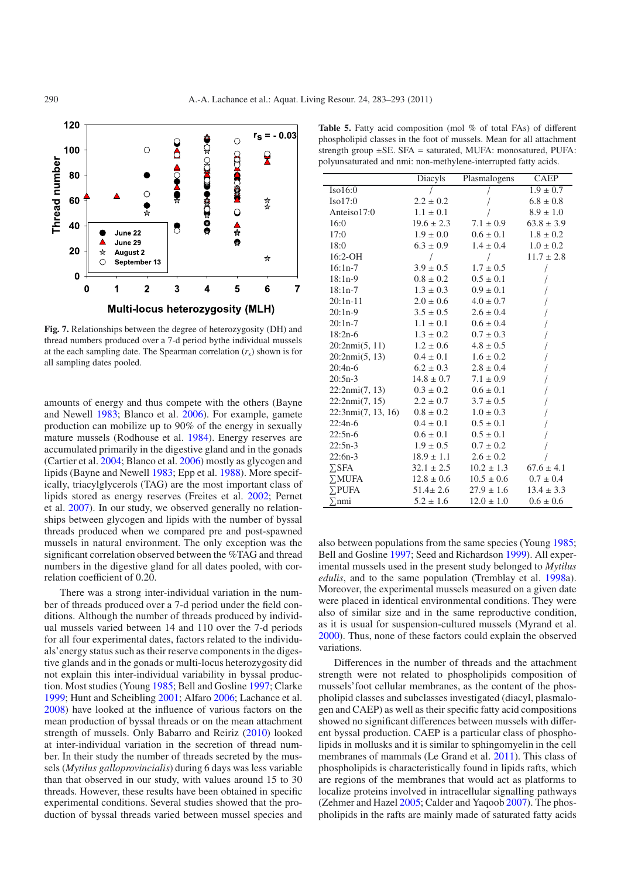<span id="page-7-0"></span>

**Fig. 7.** Relationships between the degree of heterozygosity (DH) and thread numbers produced over a 7-d period bythe individual mussels at the each sampling date. The Spearman correlation  $(r_s)$  shown is for all sampling dates pooled.

amounts of energy and thus compete with the others (Bayne and Newell [1983;](#page-9-26) Blanco et al. [2006\)](#page-9-28). For example, gamete production can mobilize up to 90% of the energy in sexually mature mussels (Rodhouse et al. [1984\)](#page-10-15). Energy reserves are accumulated primarily in the digestive gland and in the gonads (Cartier et al. [2004;](#page-9-29) Blanco et al. [2006](#page-9-28)) mostly as glycogen and lipids (Bayne and Newell [1983;](#page-9-26) Epp et al. [1988\)](#page-9-30). More specifically, triacylglycerols (TAG) are the most important class of lipids stored as energy reserves (Freites et al. [2002;](#page-9-23) Pernet et al. [2007\)](#page-10-14). In our study, we observed generally no relationships between glycogen and lipids with the number of byssal threads produced when we compared pre and post-spawned mussels in natural environment. The only exception was the significant correlation observed between the %TAG and thread numbers in the digestive gland for all dates pooled, with correlation coefficient of 0.20.

There was a strong inter-individual variation in the number of threads produced over a 7-d period under the field conditions. Although the number of threads produced by individual mussels varied between 14 and 110 over the 7-d periods for all four experimental dates, factors related to the individuals'energy status such as their reserve components in the digestive glands and in the gonads or multi-locus heterozygosity did not explain this inter-individual variability in byssal production. Most studies (Young [1985;](#page-10-16) Bell and Gosline [1997;](#page-9-25) Clarke [1999;](#page-9-4) Hunt and Scheibling [2001;](#page-9-31) Alfaro [2006;](#page-8-3) Lachance et al. [2008\)](#page-9-7) have looked at the influence of various factors on the mean production of byssal threads or on the mean attachment strength of mussels. Only Babarro and Reiriz [\(2010\)](#page-8-2) looked at inter-individual variation in the secretion of thread number. In their study the number of threads secreted by the mussels (*Mytilus galloprovincialis*) during 6 days was less variable than that observed in our study, with values around 15 to 30 threads. However, these results have been obtained in specific experimental conditions. Several studies showed that the production of byssal threads varied between mussel species and

<span id="page-7-1"></span>Table 5. Fatty acid composition (mol % of total FAs) of different phospholipid classes in the foot of mussels. Mean for all attachment strength group ±SE. SFA = saturated, MUFA: monosatured, PUFA: polyunsaturated and nmi: non-methylene-interrupted fatty acids.

|                    | Diacyls        | Plasmalogens   | <b>CAEP</b>    |
|--------------------|----------------|----------------|----------------|
| Iso16:0            |                |                | $1.9 \pm 0.7$  |
| Iso17:0            | $2.2 \pm 0.2$  |                | $6.8 \pm 0.8$  |
| Anteiso17:0        | $1.1 \pm 0.1$  |                | $8.9 \pm 1.0$  |
| 16:0               | $19.6 \pm 2.3$ | $7.1 \pm 0.9$  | $63.8 \pm 3.9$ |
| 17:0               | $1.9 \pm 0.0$  | $0.6 \pm 0.1$  | $1.8 \pm 0.2$  |
| 18:0               | $6.3 \pm 0.9$  | $1.4 \pm 0.4$  | $1.0 \pm 0.2$  |
| $16:2-OH$          | $\sqrt{2}$     | $\sqrt{2}$     | $11.7 \pm 2.8$ |
| $16:1n-7$          | $3.9 \pm 0.5$  | $1.7 \pm 0.5$  |                |
| $18:1n-9$          | $0.8 \pm 0.2$  | $0.5 \pm 0.1$  |                |
| $18:1n-7$          | $1.3 \pm 0.3$  | $0.9 \pm 0.1$  |                |
| $20:1n-11$         | $2.0 \pm 0.6$  | $4.0 \pm 0.7$  |                |
| $20:1n-9$          | $3.5 \pm 0.5$  | $2.6 \pm 0.4$  |                |
| $20:1n-7$          | $1.1 \pm 0.1$  | $0.6 \pm 0.4$  |                |
| $18:2n-6$          | $1.3 \pm 0.2$  | $0.7 \pm 0.3$  |                |
| 20:2nmi(5, 11)     | $1.2 \pm 0.6$  | $4.8 \pm 0.5$  |                |
| 20:2nmi(5, 13)     | $0.4 \pm 0.1$  | $1.6 \pm 0.2$  |                |
| $20:4n-6$          | $6.2 \pm 0.3$  | $2.8 \pm 0.4$  |                |
| $20:5n-3$          | $14.8 \pm 0.7$ | $7.1 \pm 0.9$  |                |
| 22:2nmi(7, 13)     | $0.3 \pm 0.2$  | $0.6 \pm 0.1$  |                |
| 22:2nmi(7, 15)     | $2.2 \pm 0.7$  | $3.7 \pm 0.5$  |                |
| 22:3nmi(7, 13, 16) | $0.8 \pm 0.2$  | $1.0 \pm 0.3$  |                |
| $22:4n-6$          | $0.4 \pm 0.1$  | $0.5 \pm 0.1$  |                |
| $22:5n-6$          | $0.6 \pm 0.1$  | $0.5 \pm 0.1$  |                |
| $22:5n-3$          | $1.9 \pm 0.5$  | $0.7 \pm 0.2$  |                |
| $22:6n-3$          | $18.9 \pm 1.1$ | $2.6 \pm 0.2$  |                |
| $\Sigma$ SFA       | $32.1 \pm 2.5$ | $10.2 \pm 1.3$ | $67.6 \pm 4.1$ |
| $\Sigma$ MUFA      | $12.8 \pm 0.6$ | $10.5 \pm 0.6$ | $0.7 \pm 0.4$  |
| $\Sigma$ PUFA      | $51.4 \pm 2.6$ | $27.9 \pm 1.6$ | $13.4 \pm 3.3$ |
| $\Sigma$ nmi       | $5.2 \pm 1.6$  | $12.0 \pm 1.0$ | $0.6 \pm 0.6$  |

also between populations from the same species (Young [1985;](#page-10-16) Bell and Gosline [1997;](#page-9-25) Seed and Richardson [1999\)](#page-10-17). All experimental mussels used in the present study belonged to *Mytilus edulis*, and to the same population (Tremblay et al. [1998a](#page-10-5)). Moreover, the experimental mussels measured on a given date were placed in identical environmental conditions. They were also of similar size and in the same reproductive condition, as it is usual for suspension-cultured mussels (Myrand et al. [2000\)](#page-10-18). Thus, none of these factors could explain the observed variations.

Differences in the number of threads and the attachment strength were not related to phospholipids composition of mussels'foot cellular membranes, as the content of the phospholipid classes and subclasses investigated (diacyl, plasmalogen and CAEP) as well as their specific fatty acid compositions showed no significant differences between mussels with different byssal production. CAEP is a particular class of phospholipids in mollusks and it is similar to sphingomyelin in the cell membranes of mammals (Le Grand et al. [2011\)](#page-9-17). This class of phospholipids is characteristically found in lipids rafts, which are regions of the membranes that would act as platforms to localize proteins involved in intracellular signalling pathways (Zehmer and Hazel [2005](#page-10-19); Calder and Yaqoob [2007\)](#page-9-13). The phospholipids in the rafts are mainly made of saturated fatty acids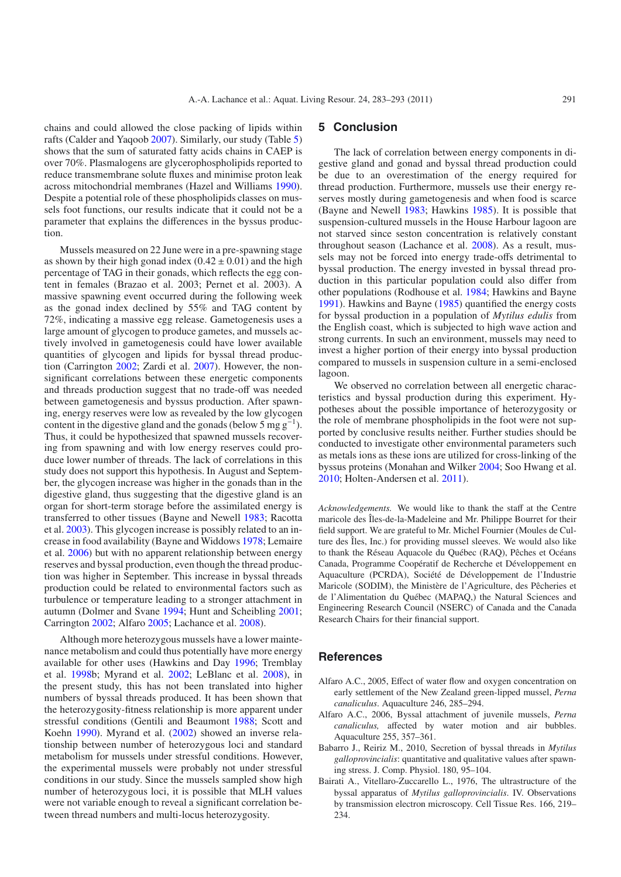chains and could allowed the close packing of lipids within rafts (Calder and Yaqoob [2007\)](#page-9-13). Similarly, our study (Table [5\)](#page-7-1) shows that the sum of saturated fatty acids chains in CAEP is over 70%. Plasmalogens are glycerophospholipids reported to reduce transmembrane solute fluxes and minimise proton leak across mitochondrial membranes (Hazel and Williams [1990](#page-9-32)). Despite a potential role of these phospholipids classes on mussels foot functions, our results indicate that it could not be a parameter that explains the differences in the byssus production.

Mussels measured on 22 June were in a pre-spawning stage as shown by their high gonad index  $(0.42 \pm 0.01)$  and the high percentage of TAG in their gonads, which reflects the egg content in females (Brazao et al. 2003; Pernet et al. 2003). A massive spawning event occurred during the following week as the gonad index declined by 55% and TAG content by 72%, indicating a massive egg release. Gametogenesis uses a large amount of glycogen to produce gametes, and mussels actively involved in gametogenesis could have lower available quantities of glycogen and lipids for byssal thread production (Carrington [2002](#page-9-5); Zardi et al. [2007\)](#page-10-2). However, the nonsignificant correlations between these energetic components and threads production suggest that no trade-off was needed between gametogenesis and byssus production. After spawning, energy reserves were low as revealed by the low glycogen content in the digestive gland and the gonads (below 5 mg  $g^{-1}$ ). Thus, it could be hypothesized that spawned mussels recovering from spawning and with low energy reserves could produce lower number of threads. The lack of correlations in this study does not support this hypothesis. In August and September, the glycogen increase was higher in the gonads than in the digestive gland, thus suggesting that the digestive gland is an organ for short-term storage before the assimilated energy is transferred to other tissues (Bayne and Newell [1983;](#page-9-26) Racotta et al. [2003\)](#page-10-20). This glycogen increase is possibly related to an increase in food availability (Bayne and Widdows [1978](#page-9-33); Lemaire et al. [2006\)](#page-9-34) but with no apparent relationship between energy reserves and byssal production, even though the thread production was higher in September. This increase in byssal threads production could be related to environmental factors such as turbulence or temperature leading to a stronger attachment in autumn (Dolmer and Svane [1994](#page-9-35); Hunt and Scheibling [2001](#page-9-31); Carrington [2002](#page-9-5); Alfaro [2005;](#page-8-1) Lachance et al. [2008\)](#page-9-7).

Although more heterozygous mussels have a lower maintenance metabolism and could thus potentially have more energy available for other uses (Hawkins and Day [1996;](#page-9-10) Tremblay et al. [1998b](#page-10-21); Myrand et al. [2002;](#page-10-6) LeBlanc et al. [2008\)](#page-9-9), in the present study, this has not been translated into higher numbers of byssal threads produced. It has been shown that the heterozygosity-fitness relationship is more apparent under stressful conditions (Gentili and Beaumont [1988;](#page-9-36) Scott and Koehn [1990\)](#page-10-22). Myrand et al. [\(2002\)](#page-10-6) showed an inverse relationship between number of heterozygous loci and standard metabolism for mussels under stressful conditions. However, the experimental mussels were probably not under stressful conditions in our study. Since the mussels sampled show high number of heterozygous loci, it is possible that MLH values were not variable enough to reveal a significant correlation between thread numbers and multi-locus heterozygosity.

# **5 Conclusion**

The lack of correlation between energy components in digestive gland and gonad and byssal thread production could be due to an overestimation of the energy required for thread production. Furthermore, mussels use their energy reserves mostly during gametogenesis and when food is scarce (Bayne and Newell [1983;](#page-9-26) Hawkins [1985\)](#page-9-8). It is possible that suspension-cultured mussels in the House Harbour lagoon are not starved since seston concentration is relatively constant throughout season (Lachance et al. [2008\)](#page-9-7). As a result, mussels may not be forced into energy trade-offs detrimental to byssal production. The energy invested in byssal thread production in this particular population could also differ from other populations (Rodhouse et al. [1984;](#page-10-15) Hawkins and Bayne [1991\)](#page-9-27). Hawkins and Bayne [\(1985](#page-9-8)) quantified the energy costs for byssal production in a population of *Mytilus edulis* from the English coast, which is subjected to high wave action and strong currents. In such an environment, mussels may need to invest a higher portion of their energy into byssal production compared to mussels in suspension culture in a semi-enclosed lagoon.

We observed no correlation between all energetic characteristics and byssal production during this experiment. Hypotheses about the possible importance of heterozygosity or the role of membrane phospholipids in the foot were not supported by conclusive results neither. Further studies should be conducted to investigate other environmental parameters such as metals ions as these ions are utilized for cross-linking of the byssus proteins (Monahan and Wilker [2004;](#page-10-23) Soo Hwang et al. [2010;](#page-10-24) Holten-Andersen et al. [2011\)](#page-9-37).

*Acknowledgements.* We would like to thank the staff at the Centre maricole des Îles-de-la-Madeleine and Mr. Philippe Bourret for their field support. We are grateful to Mr. Michel Fournier (Moules de Culture des Îles, Inc.) for providing mussel sleeves. We would also like to thank the Réseau Aquacole du Québec (RAQ), Pêches et Océans Canada, Programme Coopératif de Recherche et Développement en Aquaculture (PCRDA), Société de Développement de l'Industrie Maricole (SODIM), the Ministère de l'Agriculture, des Pêcheries et de l'Alimentation du Québec (MAPAQ,) the Natural Sciences and Engineering Research Council (NSERC) of Canada and the Canada Research Chairs for their financial support.

## **References**

- <span id="page-8-1"></span>Alfaro A.C., 2005, Effect of water flow and oxygen concentration on early settlement of the New Zealand green-lipped mussel, *Perna canaliculus*. Aquaculture 246, 285–294.
- <span id="page-8-3"></span>Alfaro A.C., 2006, Byssal attachment of juvenile mussels, *Perna canaliculus,* affected by water motion and air bubbles. Aquaculture 255, 357–361.
- <span id="page-8-2"></span>Babarro J., Reiriz M., 2010, Secretion of byssal threads in *Mytilus galloprovincialis*: quantitative and qualitative values after spawning stress. J. Comp. Physiol. 180, 95–104.
- <span id="page-8-0"></span>Bairati A., Vitellaro-Zuccarello L., 1976, The ultrastructure of the byssal apparatus of *Mytilus galloprovincialis*. IV. Observations by transmission electron microscopy. Cell Tissue Res. 166, 219– 234.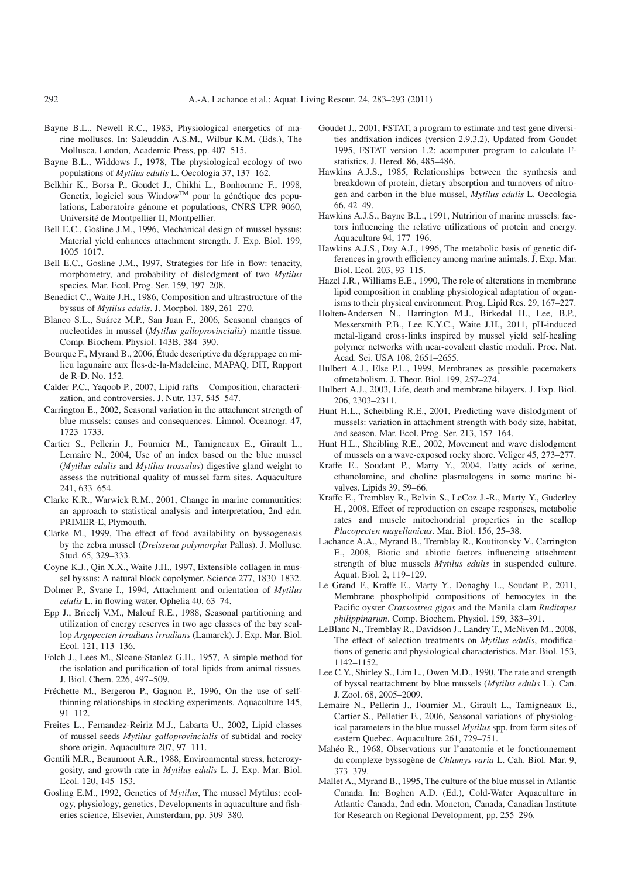- <span id="page-9-26"></span>Bayne B.L., Newell R.C., 1983, Physiological energetics of marine molluscs. In: Saleuddin A.S.M., Wilbur K.M. (Eds.), The Mollusca. London, Academic Press, pp. 407–515.
- <span id="page-9-33"></span>Bayne B.L., Widdows J., 1978, The physiological ecology of two populations of *Mytilus edulis* L. Oecologia 37, 137–162.
- <span id="page-9-22"></span>Belkhir K., Borsa P., Goudet J., Chikhi L., Bonhomme F., 1998, Genetix, logiciel sous WindowTM pour la génétique des populations, Laboratoire génome et populations, CNRS UPR 9060, Université de Montpellier II, Montpellier.
- <span id="page-9-12"></span>Bell E.C., Gosline J.M., 1996, Mechanical design of mussel byssus: Material yield enhances attachment strength. J. Exp. Biol. 199, 1005–1017.
- <span id="page-9-25"></span>Bell E.C., Gosline J.M., 1997, Strategies for life in flow: tenacity, morphometry, and probability of dislodgment of two *Mytilus* species. Mar. Ecol. Prog. Ser. 159, 197–208.
- <span id="page-9-3"></span>Benedict C., Waite J.H., 1986, Composition and ultrastructure of the byssus of *Mytilus edulis*. J. Morphol. 189, 261–270.
- <span id="page-9-28"></span>Blanco S.L., Suárez M.P., San Juan F., 2006, Seasonal changes of nucleotides in mussel (*Mytilus galloprovincialis*) mantle tissue. Comp. Biochem. Physiol. 143B, 384–390.
- <span id="page-9-18"></span>Bourque F., Myrand B., 2006, Étude descriptive du dégrappage en milieu lagunaire aux Îles-de-la-Madeleine, MAPAQ, DIT, Rapport de R-D. No. 152.
- <span id="page-9-13"></span>Calder P.C., Yaqoob P., 2007, Lipid rafts – Composition, characterization, and controversies. J. Nutr. 137, 545–547.
- <span id="page-9-5"></span>Carrington E., 2002, Seasonal variation in the attachment strength of blue mussels: causes and consequences. Limnol. Oceanogr. 47, 1723–1733.
- <span id="page-9-29"></span>Cartier S., Pellerin J., Fournier M., Tamigneaux E., Girault L., Lemaire N., 2004, Use of an index based on the blue mussel (*Mytilus edulis* and *Mytilus trossulus*) digestive gland weight to assess the nutritional quality of mussel farm sites. Aquaculture 241, 633–654.
- <span id="page-9-21"></span>Clarke K.R., Warwick R.M., 2001, Change in marine communities: an approach to statistical analysis and interpretation, 2nd edn. PRIMER-E, Plymouth.
- <span id="page-9-4"></span>Clarke M., 1999, The effect of food availability on byssogenesis by the zebra mussel (*Dreissena polymorpha* Pallas). J. Mollusc. Stud. 65, 329–333.
- <span id="page-9-11"></span>Coyne K.J., Qin X.X., Waite J.H., 1997, Extensible collagen in mussel byssus: A natural block copolymer. Science 277, 1830–1832.
- <span id="page-9-35"></span>Dolmer P., Svane I., 1994, Attachment and orientation of *Mytilus edulis* L. in flowing water. Ophelia 40, 63–74.
- <span id="page-9-30"></span>Epp J., Bricelj V.M., Malouf R.E., 1988, Seasonal partitioning and utilization of energy reserves in two age classes of the bay scallop *Argopecten irradians irradians* (Lamarck). J. Exp. Mar. Biol. Ecol. 121, 113–136.
- <span id="page-9-19"></span>Folch J., Lees M., Sloane-Stanlez G.H., 1957, A simple method for the isolation and purification of total lipids from animal tissues. J. Biol. Chem. 226, 497–509.
- <span id="page-9-0"></span>Fréchette M., Bergeron P., Gagnon P., 1996, On the use of selfthinning relationships in stocking experiments. Aquaculture 145, 91–112.
- <span id="page-9-23"></span>Freites L., Fernandez-Reiriz M.J., Labarta U., 2002, Lipid classes of mussel seeds *Mytilus galloprovincialis* of subtidal and rocky shore origin. Aquaculture 207, 97–111.
- <span id="page-9-36"></span>Gentili M.R., Beaumont A.R., 1988, Environmental stress, heterozygosity, and growth rate in *Mytilus edulis* L. J. Exp. Mar. Biol. Ecol. 120, 145–153.
- Gosling E.M., 1992, Genetics of *Mytilus*, The mussel Mytilus: ecology, physiology, genetics, Developments in aquaculture and fisheries science, Elsevier, Amsterdam, pp. 309–380.
- Goudet J., 2001, FSTAT, a program to estimate and test gene diversities andfixation indices (version 2.9.3.2), Updated from Goudet 1995, FSTAT version 1.2: acomputer program to calculate Fstatistics. J. Hered. 86, 485–486.
- <span id="page-9-8"></span>Hawkins A.J.S., 1985, Relationships between the synthesis and breakdown of protein, dietary absorption and turnovers of nitrogen and carbon in the blue mussel, *Mytilus edulis* L. Oecologia 66, 42–49.
- <span id="page-9-27"></span>Hawkins A.J.S., Bayne B.L., 1991, Nutririon of marine mussels: factors influencing the relative utilizations of protein and energy. Aquaculture 94, 177–196.
- <span id="page-9-10"></span>Hawkins A.J.S., Day A.J., 1996, The metabolic basis of genetic differences in growth efficiency among marine animals. J. Exp. Mar. Biol. Ecol. 203, 93–115.
- <span id="page-9-32"></span>Hazel J.R., Williams E.E., 1990, The role of alterations in membrane lipid composition in enabling physiological adaptation of organisms to their physical environment. Prog. Lipid Res. 29, 167–227.
- <span id="page-9-37"></span>Holten-Andersen N., Harrington M.J., Birkedal H., Lee, B.P., Messersmith P.B., Lee K.Y.C., Waite J.H., 2011, pH-induced metal-ligand cross-links inspired by mussel yield self-healing polymer networks with near-covalent elastic moduli. Proc. Nat. Acad. Sci. USA 108, 2651–2655.
- <span id="page-9-14"></span>Hulbert A.J., Else P.L., 1999, Membranes as possible pacemakers ofmetabolism. J. Theor. Biol. 199, 257–274.
- <span id="page-9-15"></span>Hulbert A.J., 2003, Life, death and membrane bilayers. J. Exp. Biol. 206, 2303–2311.
- <span id="page-9-31"></span>Hunt H.L., Scheibling R.E., 2001, Predicting wave dislodgment of mussels: variation in attachment strength with body size, habitat, and season. Mar. Ecol. Prog. Ser. 213, 157–164.
- <span id="page-9-6"></span>Hunt H.L., Sheibling R.E., 2002, Movement and wave dislodgment of mussels on a wave-exposed rocky shore. Veliger 45, 273–277.
- <span id="page-9-16"></span>Kraffe E., Soudant P., Marty Y., 2004, Fatty acids of serine, ethanolamine, and choline plasmalogens in some marine bivalves. Lipids 39, 59–66.
- <span id="page-9-20"></span>Kraffe E., Tremblay R., Belvin S., LeCoz J.-R., Marty Y., Guderley H., 2008, Effect of reproduction on escape responses, metabolic rates and muscle mitochondrial properties in the scallop *Placopecten magellanicus*. Mar. Biol. 156, 25–38.
- <span id="page-9-7"></span>Lachance A.A., Myrand B., Tremblay R., Koutitonsky V., Carrington E., 2008, Biotic and abiotic factors influencing attachment strength of blue mussels *Mytilus edulis* in suspended culture. Aquat. Biol. 2, 119–129.
- <span id="page-9-17"></span>Le Grand F., Kraffe E., Marty Y., Donaghy L., Soudant P., 2011, Membrane phospholipid compositions of hemocytes in the Pacific oyster *Crassostrea gigas* and the Manila clam *Ruditapes philippinarum*. Comp. Biochem. Physiol. 159, 383–391.
- <span id="page-9-9"></span>LeBlanc N., Tremblay R., Davidson J., Landry T., McNiven M., 2008, The effect of selection treatments on *Mytilus edulis*, modifications of genetic and physiological characteristics. Mar. Biol. 153, 1142–1152.
- <span id="page-9-24"></span>Lee C.Y., Shirley S., Lim L., Owen M.D., 1990, The rate and strength of byssal reattachment by blue mussels (*Mytilus edulis* L.). Can. J. Zool. 68, 2005–2009.
- <span id="page-9-34"></span>Lemaire N., Pellerin J., Fournier M., Girault L., Tamigneaux E., Cartier S., Pelletier E., 2006, Seasonal variations of physiological parameters in the blue mussel *Mytilus* spp. from farm sites of eastern Quebec. Aquaculture 261, 729–751.
- <span id="page-9-2"></span>Mahéo R., 1968, Observations sur l'anatomie et le fonctionnement du complexe byssogène de *Chlamys varia* L. Cah. Biol. Mar. 9, 373–379.
- <span id="page-9-1"></span>Mallet A., Myrand B., 1995, The culture of the blue mussel in Atlantic Canada. In: Boghen A.D. (Ed.), Cold-Water Aquaculture in Atlantic Canada, 2nd edn. Moncton, Canada, Canadian Institute for Research on Regional Development, pp. 255–296.